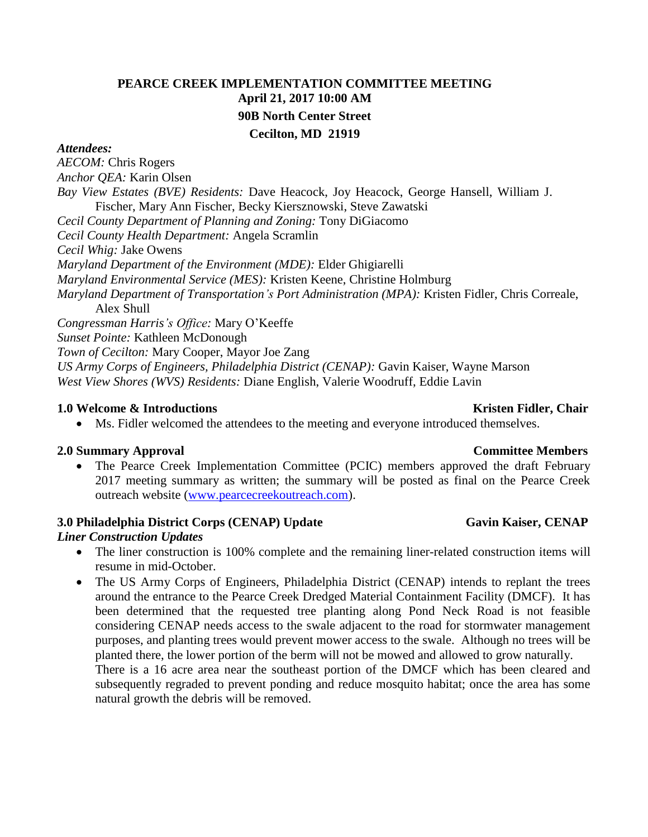# **PEARCE CREEK IMPLEMENTATION COMMITTEE MEETING April 21, 2017 10:00 AM 90B North Center Street Cecilton, MD 21919**

### *Attendees:*

*AECOM:* Chris Rogers *Anchor QEA:* Karin Olsen *Bay View Estates (BVE) Residents:* Dave Heacock, Joy Heacock, George Hansell, William J. Fischer, Mary Ann Fischer, Becky Kiersznowski, Steve Zawatski *Cecil County Department of Planning and Zoning:* Tony DiGiacomo *Cecil County Health Department:* Angela Scramlin *Cecil Whig:* Jake Owens *Maryland Department of the Environment (MDE):* Elder Ghigiarelli *Maryland Environmental Service (MES):* Kristen Keene, Christine Holmburg *Maryland Department of Transportation's Port Administration (MPA):* Kristen Fidler, Chris Correale, Alex Shull *Congressman Harris's Office:* Mary O'Keeffe *Sunset Pointe:* Kathleen McDonough *Town of Cecilton:* Mary Cooper, Mayor Joe Zang *US Army Corps of Engineers, Philadelphia District (CENAP):* Gavin Kaiser, Wayne Marson *West View Shores (WVS) Residents:* Diane English, Valerie Woodruff, Eddie Lavin

### **1.0** Welcome & Introductions **Kristen Fidler, Chair Kristen Fidler, Chair Kristen Fidler**, Chair

Ms. Fidler welcomed the attendees to the meeting and everyone introduced themselves.

### **2.0 Summary Approval Committee Members**

• The Pearce Creek Implementation Committee (PCIC) members approved the draft February 2017 meeting summary as written; the summary will be posted as final on the Pearce Creek outreach website [\(www.pearcecreekoutreach.com\)](http://www.pearcecreekoutreach.com/).

### **3.0** Philadelphia District Corps (CENAP) Update Gavin Kaiser, CENAP

#### *Liner Construction Updates*

- The liner construction is 100% complete and the remaining liner-related construction items will resume in mid-October.
- The US Army Corps of Engineers, Philadelphia District (CENAP) intends to replant the trees around the entrance to the Pearce Creek Dredged Material Containment Facility (DMCF). It has been determined that the requested tree planting along Pond Neck Road is not feasible considering CENAP needs access to the swale adjacent to the road for stormwater management purposes, and planting trees would prevent mower access to the swale. Although no trees will be planted there, the lower portion of the berm will not be mowed and allowed to grow naturally. There is a 16 acre area near the southeast portion of the DMCF which has been cleared and

subsequently regraded to prevent ponding and reduce mosquito habitat; once the area has some natural growth the debris will be removed.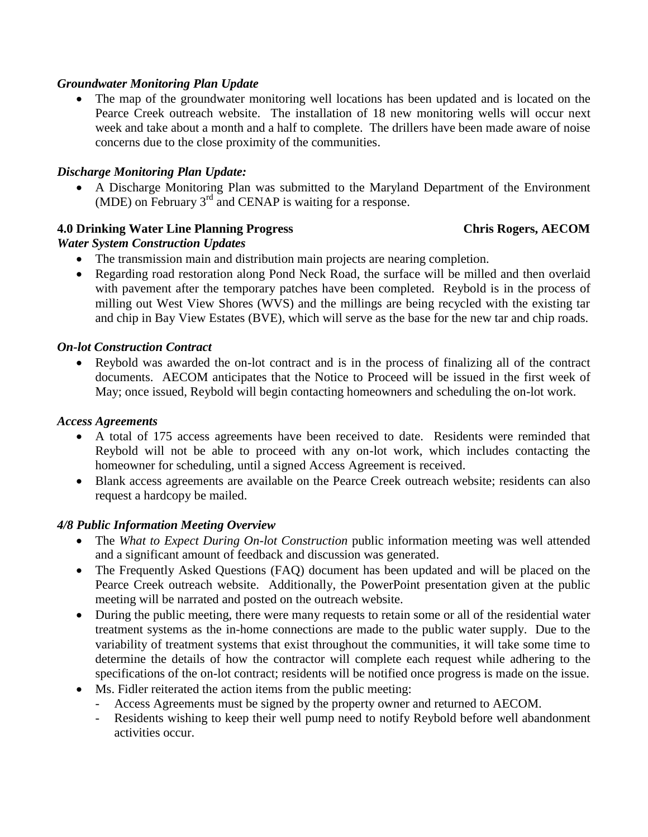## *Groundwater Monitoring Plan Update*

 The map of the groundwater monitoring well locations has been updated and is located on the Pearce Creek outreach website. The installation of 18 new monitoring wells will occur next week and take about a month and a half to complete. The drillers have been made aware of noise concerns due to the close proximity of the communities.

## *Discharge Monitoring Plan Update:*

 A Discharge Monitoring Plan was submitted to the Maryland Department of the Environment (MDE) on February  $3<sup>rd</sup>$  and CENAP is waiting for a response.

## **4.0 Drinking Water Line Planning Progress Chris Rogers, AECOM**

## *Water System Construction Updates*

- The transmission main and distribution main projects are nearing completion.
- Regarding road restoration along Pond Neck Road, the surface will be milled and then overlaid with pavement after the temporary patches have been completed. Reybold is in the process of milling out West View Shores (WVS) and the millings are being recycled with the existing tar and chip in Bay View Estates (BVE), which will serve as the base for the new tar and chip roads.

### *On-lot Construction Contract*

 Reybold was awarded the on-lot contract and is in the process of finalizing all of the contract documents. AECOM anticipates that the Notice to Proceed will be issued in the first week of May; once issued, Reybold will begin contacting homeowners and scheduling the on-lot work.

#### *Access Agreements*

- A total of 175 access agreements have been received to date. Residents were reminded that Reybold will not be able to proceed with any on-lot work, which includes contacting the homeowner for scheduling, until a signed Access Agreement is received.
- Blank access agreements are available on the Pearce Creek outreach website; residents can also request a hardcopy be mailed.

### *4/8 Public Information Meeting Overview*

- The *What to Expect During On-lot Construction* public information meeting was well attended and a significant amount of feedback and discussion was generated.
- The Frequently Asked Questions (FAQ) document has been updated and will be placed on the Pearce Creek outreach website. Additionally, the PowerPoint presentation given at the public meeting will be narrated and posted on the outreach website.
- During the public meeting, there were many requests to retain some or all of the residential water treatment systems as the in-home connections are made to the public water supply. Due to the variability of treatment systems that exist throughout the communities, it will take some time to determine the details of how the contractor will complete each request while adhering to the specifications of the on-lot contract; residents will be notified once progress is made on the issue.
- Ms. Fidler reiterated the action items from the public meeting:
	- Access Agreements must be signed by the property owner and returned to AECOM.
	- Residents wishing to keep their well pump need to notify Reybold before well abandonment activities occur.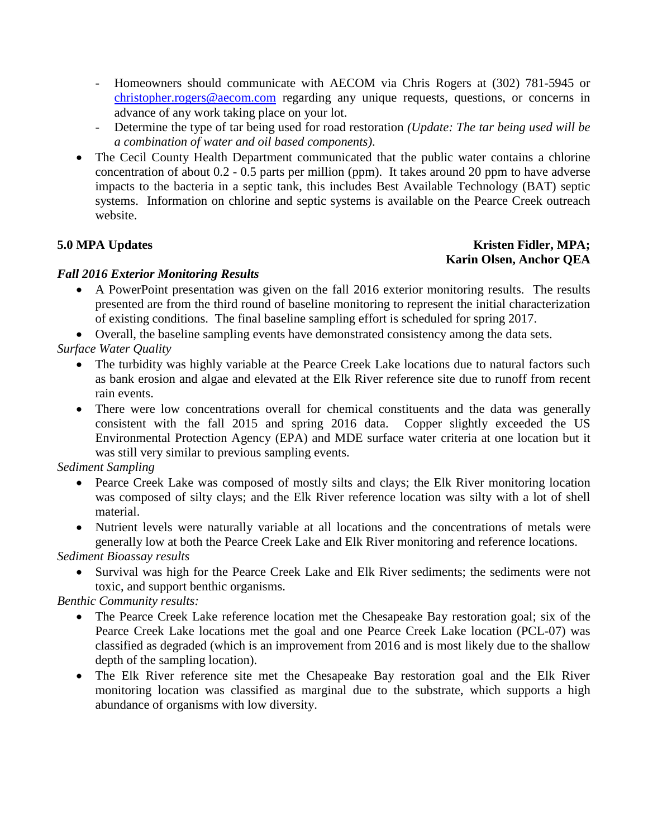- Homeowners should communicate with AECOM via Chris Rogers at (302) 781-5945 or [christopher.rogers@aecom.com](mailto:christopher.rogers@aecom.com) regarding any unique requests, questions, or concerns in advance of any work taking place on your lot.
- Determine the type of tar being used for road restoration *(Update: The tar being used will be a combination of water and oil based components)*.
- The Cecil County Health Department communicated that the public water contains a chlorine concentration of about 0.2 - 0.5 parts per million (ppm). It takes around 20 ppm to have adverse impacts to the bacteria in a septic tank, this includes Best Available Technology (BAT) septic systems. Information on chlorine and septic systems is available on the Pearce Creek outreach website.

### **5.0** MPA Updates Kristen Fidler, MPA; **Karin Olsen, Anchor QEA**

## *Fall 2016 Exterior Monitoring Results*

 A PowerPoint presentation was given on the fall 2016 exterior monitoring results. The results presented are from the third round of baseline monitoring to represent the initial characterization of existing conditions. The final baseline sampling effort is scheduled for spring 2017.

Overall, the baseline sampling events have demonstrated consistency among the data sets.

*Surface Water Quality*

- The turbidity was highly variable at the Pearce Creek Lake locations due to natural factors such as bank erosion and algae and elevated at the Elk River reference site due to runoff from recent rain events.
- There were low concentrations overall for chemical constituents and the data was generally consistent with the fall 2015 and spring 2016 data. Copper slightly exceeded the US Environmental Protection Agency (EPA) and MDE surface water criteria at one location but it was still very similar to previous sampling events.

## *Sediment Sampling*

- Pearce Creek Lake was composed of mostly silts and clays; the Elk River monitoring location was composed of silty clays; and the Elk River reference location was silty with a lot of shell material.
- Nutrient levels were naturally variable at all locations and the concentrations of metals were generally low at both the Pearce Creek Lake and Elk River monitoring and reference locations.

*Sediment Bioassay results*

 Survival was high for the Pearce Creek Lake and Elk River sediments; the sediments were not toxic, and support benthic organisms.

## *Benthic Community results:*

- The Pearce Creek Lake reference location met the Chesapeake Bay restoration goal; six of the Pearce Creek Lake locations met the goal and one Pearce Creek Lake location (PCL-07) was classified as degraded (which is an improvement from 2016 and is most likely due to the shallow depth of the sampling location).
- The Elk River reference site met the Chesapeake Bay restoration goal and the Elk River monitoring location was classified as marginal due to the substrate, which supports a high abundance of organisms with low diversity.